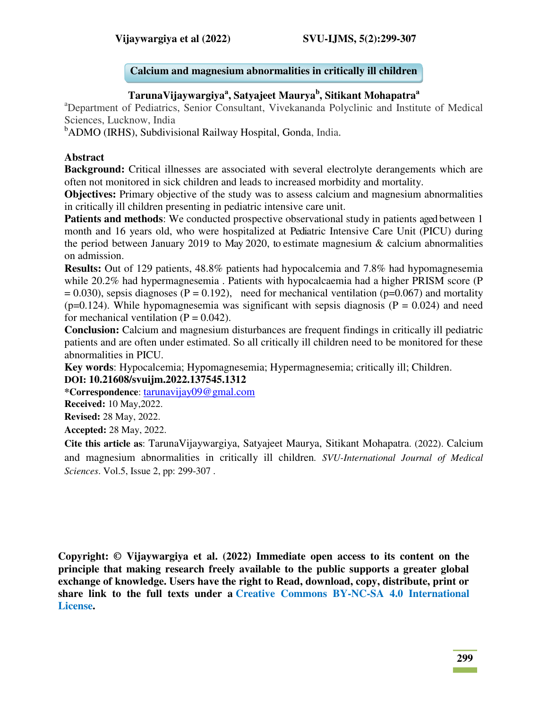## **Calcium and magnesium abnormalities in critically ill children**

# **TarunaVijaywargiya<sup>a</sup> , Satyajeet Maurya<sup>b</sup> , Sitikant Mohapatra<sup>a</sup>**

<sup>a</sup>Department of Pediatrics, Senior Consultant, Vivekananda Polyclinic and Institute of Medical Sciences, Lucknow, India

<sup>b</sup>ADMO (IRHS), Subdivisional Railway Hospital, Gonda, India.

#### **Abstract**

**Background:** Critical illnesses are associated with several electrolyte derangements which are often not monitored in sick children and leads to increased morbidity and mortality.

**Objectives:** Primary objective of the study was to assess calcium and magnesium abnormalities in critically ill children presenting in pediatric intensive care unit.

**Patients and methods:** We conducted prospective observational study in patients aged between 1 month and 16 years old, who were hospitalized at Pediatric Intensive Care Unit (PICU) during the period between January 2019 to May 2020, to estimate magnesium & calcium abnormalities on admission.

**Results:** Out of 129 patients, 48.8% patients had hypocalcemia and 7.8% had hypomagnesemia while 20.2% had hypermagnesemia . Patients with hypocalcaemia had a higher PRISM score (P  $= 0.030$ ), sepsis diagnoses (P = 0.192), need for mechanical ventilation (p=0.067) and mortality ( $p=0.124$ ). While hypomagnesemia was significant with sepsis diagnosis ( $P = 0.024$ ) and need for mechanical ventilation  $(P = 0.042)$ .

**Conclusion:** Calcium and magnesium disturbances are frequent findings in critically ill pediatric patients and are often under estimated. So all critically ill children need to be monitored for these abnormalities in PICU.

**Key words**: Hypocalcemia; Hypomagnesemia; Hypermagnesemia; critically ill; Children. **DOI: 10.21608/svuijm.2022.137545.1312** 

**\*Correspondence**: [tarunavijay09@gmal.com](mailto:tarunavijay09@gmal.com)

**Received:** 10 May,2022.

**Revised:** 28 May, 2022.

**Accepted:** 28 May, 2022.

**Cite this article as**: TarunaVijaywargiya, Satyajeet Maurya, Sitikant Mohapatra. (2022). Calcium and magnesium abnormalities in critically ill children*. SVU-International Journal of Medical Sciences*. Vol.5, Issue 2, pp: 299-307 .

**Copyright: © Vijaywargiya et al. (2022) Immediate open access to its content on the principle that making research freely available to the public supports a greater global exchange of knowledge. Users have the right to Read, download, copy, distribute, print or share link to the full texts under a [Creative Commons BY-NC-SA 4.0 International](https://creativecommons.org/licenses/by-nc-sa/4.0/)  [License.](https://creativecommons.org/licenses/by-nc-sa/4.0/)**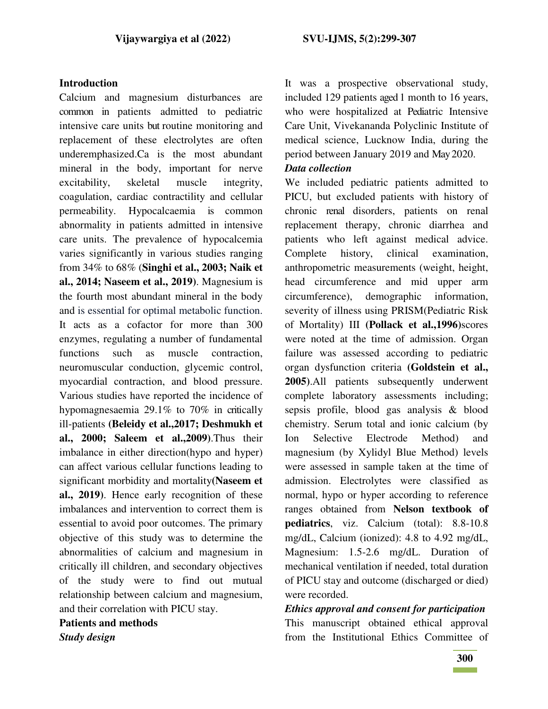#### **Introduction**

Calcium and magnesium disturbances are common in patients admitted to pediatric intensive care units but routine monitoring and replacement of these electrolytes are often underemphasized.Ca is the most abundant mineral in the body, important for nerve excitability, skeletal muscle integrity, coagulation, cardiac contractility and cellular permeability. Hypocalcaemia is common abnormality in patients admitted in intensive care units. The prevalence of hypocalcemia varies significantly in various studies ranging from 34% to 68% (**Singhi et al., 2003; Naik et al., 2014; Naseem et al., 2019)**. Magnesium is the fourth most abundant mineral in the body and is essential for optimal metabolic function. It acts as a cofactor for more than 300 enzymes, regulating a number of fundamental functions such as muscle contraction, neuromuscular conduction, glycemic control, myocardial contraction, and blood pressure. Various studies have reported the incidence of hypomagnesaemia 29.1% to 70% in critically ill-patients **(Beleidy et al.,2017; Deshmukh et al., 2000; Saleem et al.,2009)**.Thus their imbalance in either direction(hypo and hyper) can affect various cellular functions leading to significant morbidity and mortality**(Naseem et al., 2019)**. Hence early recognition of these imbalances and intervention to correct them is essential to avoid poor outcomes. The primary objective of this study was to determine the abnormalities of calcium and magnesium in critically ill children, and secondary objectives of the study were to find out mutual relationship between calcium and magnesium, and their correlation with PICU stay.

**Patients and methods**  *Study design* 

It was a prospective observational study, included 129 patients aged 1 month to 16 years, who were hospitalized at Pediatric Intensive Care Unit, Vivekananda Polyclinic Institute of medical science, Lucknow India, during the period between January 2019 and May 2020.

#### *Data collection*

We included pediatric patients admitted to PICU, but excluded patients with history of chronic renal disorders, patients on renal replacement therapy, chronic diarrhea and patients who left against medical advice. Complete history, clinical examination, anthropometric measurements (weight, height, head circumference and mid upper arm circumference), demographic information, severity of illness using PRISM(Pediatric Risk of Mortality) III **(Pollack et al.,1996)**scores were noted at the time of admission. Organ failure was assessed according to pediatric organ dysfunction criteria **(Goldstein et al., 2005)**.All patients subsequently underwent complete laboratory assessments including; sepsis profile, blood gas analysis & blood chemistry. Serum total and ionic calcium (by Ion Selective Electrode Method) and magnesium (by Xylidyl Blue Method) levels were assessed in sample taken at the time of admission. Electrolytes were classified as normal, hypo or hyper according to reference ranges obtained from **Nelson textbook of pediatrics**, viz. Calcium (total): 8.8-10.8 mg/dL, Calcium (ionized): 4.8 to 4.92 mg/dL, Magnesium: 1.5-2.6 mg/dL. Duration of mechanical ventilation if needed, total duration of PICU stay and outcome (discharged or died) were recorded.

*Ethics approval and consent for participation*  This manuscript obtained ethical approval from the Institutional Ethics Committee of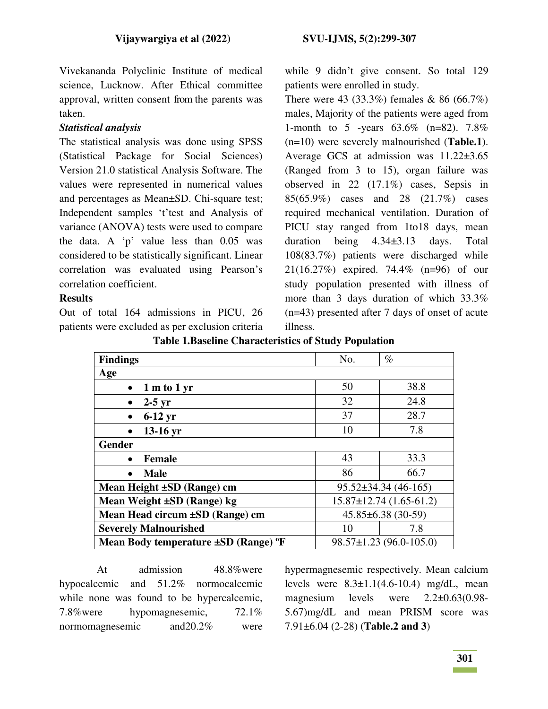Vivekananda Polyclinic Institute of medical science, Lucknow. After Ethical committee approval, written consent from the parents was taken.

## *Statistical analysis*

The statistical analysis was done using SPSS (Statistical Package for Social Sciences) Version 21.0 statistical Analysis Software. The values were represented in numerical values and percentages as Mean±SD. Chi-square test; Independent samples 't'test and Analysis of variance (ANOVA) tests were used to compare the data. A 'p' value less than 0.05 was considered to be statistically significant. Linear correlation was evaluated using Pearson's correlation coefficient.

## **Results**

Out of total 164 admissions in PICU, 26 patients were excluded as per exclusion criteria while 9 didn't give consent. So total 129 patients were enrolled in study.

There were 43 (33.3%) females & 86 (66.7%) males, Majority of the patients were aged from 1-month to 5 -years 63.6% (n=82). 7.8% (n=10) were severely malnourished (**Table.1**). Average GCS at admission was 11.22±3.65 (Ranged from 3 to 15), organ failure was observed in 22 (17.1%) cases, Sepsis in 85(65.9%) cases and 28 (21.7%) cases required mechanical ventilation. Duration of PICU stay ranged from 1to18 days, mean duration being 4.34±3.13 days. Total 108(83.7%) patients were discharged while 21(16.27%) expired. 74.4% (n=96) of our study population presented with illness of more than 3 days duration of which 33.3% (n=43) presented after 7 days of onset of acute illness.

| <b>Findings</b>                                          | No.                        | $\%$                          |  |  |
|----------------------------------------------------------|----------------------------|-------------------------------|--|--|
| Age                                                      |                            |                               |  |  |
| 1 m to 1 yr<br>$\bullet$                                 | 50                         | 38.8                          |  |  |
| $2-5$ yr<br>$\bullet$                                    | 32                         | 24.8                          |  |  |
| $6-12$ yr<br>$\bullet$                                   | 37                         | 28.7                          |  |  |
| $13-16$ yr<br>$\bullet$                                  | 10                         | 7.8                           |  |  |
| <b>Gender</b>                                            |                            |                               |  |  |
| <b>Female</b><br>$\bullet$                               | 43                         | 33.3                          |  |  |
| <b>Male</b><br>$\bullet$                                 | 86                         | 66.7                          |  |  |
| Mean Height ±SD (Range) cm                               | $95.52 \pm 34.34$ (46-165) |                               |  |  |
| Mean Weight ±SD (Range) kg                               |                            | $15.87 \pm 12.74$ (1.65-61.2) |  |  |
| $45.85\pm6.38(30-59)$<br>Mean Head circum ±SD (Range) cm |                            |                               |  |  |
| <b>Severely Malnourished</b>                             | 10                         | 7.8                           |  |  |
| Mean Body temperature $\pm SD$ (Range) $\mathrm{P}F$     |                            | $98.57 \pm 1.23$ (96.0-105.0) |  |  |

**Table 1.Baseline Characteristics of Study Population** 

At admission 48.8%were hypocalcemic and 51.2% normocalcemic while none was found to be hypercalcemic, 7.8%were hypomagnesemic, 72.1% normomagnesemic and20.2% were

hypermagnesemic respectively. Mean calcium levels were  $8.3 \pm 1.1(4.6 \text{-} 10.4)$  mg/dL, mean magnesium levels were 2.2±0.63(0.98- 5.67)mg/dL and mean PRISM score was 7.91±6.04 (2-28) (**Table.2 and 3**)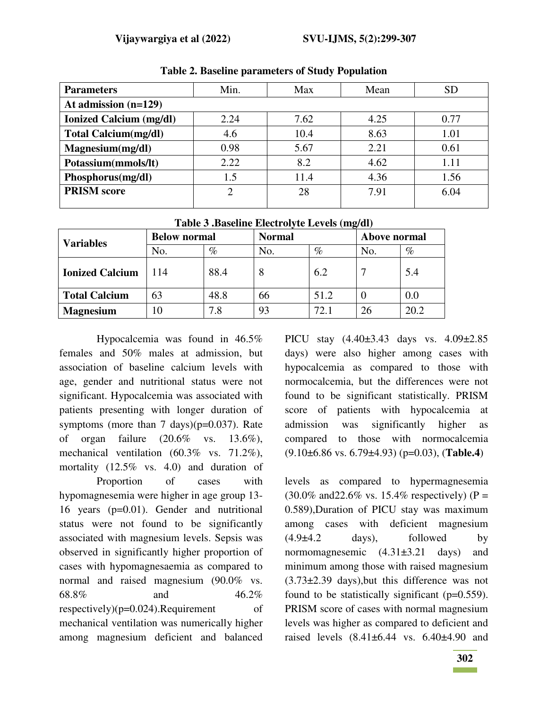| <b>Parameters</b>              | Min.           | Max  | Mean | <b>SD</b> |  |  |
|--------------------------------|----------------|------|------|-----------|--|--|
| At admission $(n=129)$         |                |      |      |           |  |  |
| <b>Ionized Calcium (mg/dl)</b> | 2.24           | 7.62 | 4.25 | 0.77      |  |  |
| <b>Total Calcium(mg/dl)</b>    | 4.6            | 10.4 | 8.63 | 1.01      |  |  |
| Magnesium(mg/dl)               | 0.98           | 5.67 | 2.21 | 0.61      |  |  |
| Potassium(mmols/lt)            | 2.22           | 8.2  | 4.62 | 1.11      |  |  |
| Phosphorus(mg/dl)              | 1.5            | 11.4 | 4.36 | 1.56      |  |  |
| <b>PRISM</b> score             | $\overline{2}$ | 28   | 7.91 | 6.04      |  |  |
|                                |                |      |      |           |  |  |

**Table 2. Baseline parameters of Study Population** 

|  | Table 3 .Baseline Electrolyte Levels (mg/dl) |  |
|--|----------------------------------------------|--|
|  |                                              |  |

| <b>Variables</b>       | <b>Below normal</b> |      | <b>Normal</b> |      | Above normal |      |
|------------------------|---------------------|------|---------------|------|--------------|------|
|                        | No.                 | $\%$ | No.           | $\%$ | No.          | $\%$ |
| <b>Ionized Calcium</b> | 114                 | 88.4 |               | 6.2  |              | 5.4  |
| <b>Total Calcium</b>   | 63                  | 48.8 | 66            | 51.2 |              | 0.0  |
| <b>Magnesium</b>       | 10                  | 7.8  | 93            | 72.1 |              | 20.2 |

Hypocalcemia was found in 46.5% females and 50% males at admission, but association of baseline calcium levels with age, gender and nutritional status were not significant. Hypocalcemia was associated with patients presenting with longer duration of symptoms (more than  $7 \text{ days}$ )(p=0.037). Rate of organ failure (20.6% vs. 13.6%), mechanical ventilation (60.3% vs. 71.2%), mortality (12.5% vs. 4.0) and duration of

Proportion of cases with hypomagnesemia were higher in age group 13- 16 years (p=0.01). Gender and nutritional status were not found to be significantly associated with magnesium levels. Sepsis was observed in significantly higher proportion of cases with hypomagnesaemia as compared to normal and raised magnesium (90.0% vs. 68.8% and 46.2% respectively) $(p=0.024)$ . Requirement of mechanical ventilation was numerically higher among magnesium deficient and balanced PICU stay (4.40±3.43 days vs. 4.09±2.85 days) were also higher among cases with hypocalcemia as compared to those with normocalcemia, but the differences were not found to be significant statistically. PRISM score of patients with hypocalcemia at admission was significantly higher as compared to those with normocalcemia (9.10±6.86 vs. 6.79±4.93) (p=0.03), (**Table.4**)

levels as compared to hypermagnesemia  $(30.0\% \text{ and } 22.6\% \text{ vs. } 15.4\% \text{ respectively}) (P =$ 0.589),Duration of PICU stay was maximum among cases with deficient magnesium  $(4.9\pm4.2$  days), followed by normomagnesemic (4.31±3.21 days) and minimum among those with raised magnesium (3.73±2.39 days),but this difference was not found to be statistically significant (p=0.559). PRISM score of cases with normal magnesium levels was higher as compared to deficient and raised levels (8.41±6.44 vs. 6.40±4.90 and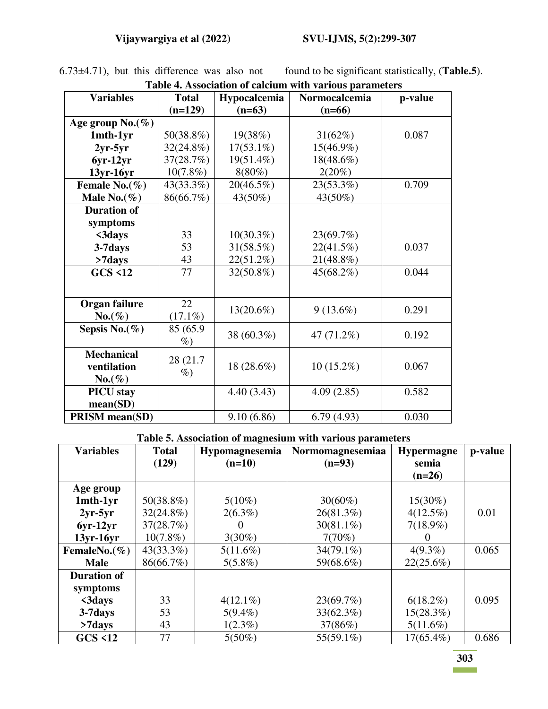| Table 4. Association of calcium with various parameters |                   |              |               |         |  |  |  |
|---------------------------------------------------------|-------------------|--------------|---------------|---------|--|--|--|
| <b>Variables</b>                                        | <b>Total</b>      | Hypocalcemia | Normocalcemia | p-value |  |  |  |
|                                                         | $(n=129)$         | $(n=63)$     | $(n=66)$      |         |  |  |  |
| Age group $No.(\%)$                                     |                   |              |               |         |  |  |  |
| 1mth-1yr                                                | 50(38.8%)         | 19(38%)      | 31(62%)       | 0.087   |  |  |  |
| $2yr-5yr$                                               | $32(24.8\%)$      | $17(53.1\%)$ | 15(46.9%)     |         |  |  |  |
| $6yr-12yr$                                              | 37(28.7%)         | 19(51.4%)    | $18(48.6\%)$  |         |  |  |  |
| $13yr-16yr$                                             | $10(7.8\%)$       | $8(80\%)$    | 2(20%)        |         |  |  |  |
| Female No. $(\%)$                                       | 43(33.3%)         | $20(46.5\%)$ | 23(53.3%)     | 0.709   |  |  |  |
| Male No. $(\%)$                                         | 86(66.7%)         | 43(50%)      | 43(50%)       |         |  |  |  |
| <b>Duration of</b>                                      |                   |              |               |         |  |  |  |
| symptoms                                                |                   |              |               |         |  |  |  |
| $<$ 3days                                               | 33                | $10(30.3\%)$ | 23(69.7%)     |         |  |  |  |
| 3-7days                                                 | 53                | $31(58.5\%)$ | 22(41.5%)     | 0.037   |  |  |  |
| >7days                                                  | 43                | 22(51.2%)    | 21(48.8%)     |         |  |  |  |
| <b>GCS &lt;12</b>                                       | 77                | 32(50.8%)    | 45(68.2%)     | 0.044   |  |  |  |
|                                                         |                   |              |               |         |  |  |  |
| Organ failure                                           | 22                |              |               |         |  |  |  |
| $No.(\%)$                                               | $(17.1\%)$        | $13(20.6\%)$ | $9(13.6\%)$   | 0.291   |  |  |  |
| Sepsis No. $(\%)$                                       | 85 (65.9)<br>$\%$ | 38 (60.3%)   | 47 (71.2%)    | 0.192   |  |  |  |
| <b>Mechanical</b><br>ventilation<br>$No.(\%)$           | 28 (21.7)<br>$\%$ | 18 (28.6%)   | $10(15.2\%)$  | 0.067   |  |  |  |
| <b>PICU</b> stay                                        |                   | 4.40(3.43)   | 4.09(2.85)    | 0.582   |  |  |  |
| mean(SD)                                                |                   |              |               |         |  |  |  |
| <b>PRISM</b> mean(SD)                                   |                   | 9.10(6.86)   | 6.79(4.93)    | 0.030   |  |  |  |

6.73±4.71), but this difference was also not found to be significant statistically, (**Table.5**).

#### **Table 5. Association of magnesium with various parameters**

| <b>Variables</b>   | <b>Total</b> | o<br>Hypomagnesemia | Normomagnesemiaa | <b>Hypermagne</b> | p-value |
|--------------------|--------------|---------------------|------------------|-------------------|---------|
|                    | (129)        | $(n=10)$            | $(n=93)$         | semia             |         |
|                    |              |                     |                  | $(n=26)$          |         |
| Age group          |              |                     |                  |                   |         |
| 1mth-1yr           | $50(38.8\%)$ | $5(10\%)$           | $30(60\%)$       | $15(30\%)$        |         |
| $2yr-5yr$          | $32(24.8\%)$ | $2(6.3\%)$          | 26(81.3%)        | $4(12.5\%)$       | 0.01    |
| $6yr-12yr$         | 37(28.7%)    | $_{0}$              | $30(81.1\%)$     | $7(18.9\%)$       |         |
| $13yr-16yr$        | $10(7.8\%)$  | $3(30\%)$           | 7(70%)           |                   |         |
| FemaleNo. $(\%)$   | $43(33.3\%)$ | $5(11.6\%)$         | $34(79.1\%)$     | $4(9.3\%)$        | 0.065   |
| <b>Male</b>        | 86(66.7%)    | $5(5.8\%)$          | 59(68.6%)        | 22(25.6%)         |         |
| <b>Duration of</b> |              |                     |                  |                   |         |
| symptoms           |              |                     |                  |                   |         |
| $<$ 3days          | 33           | $4(12.1\%)$         | 23(69.7%)        | $6(18.2\%)$       | 0.095   |
| 3-7 days           | 53           | $5(9.4\%)$          | 33(62.3%)        | $15(28.3\%)$      |         |
| $>7$ days          | 43           | $1(2.3\%)$          | 37(86%)          | $5(11.6\%)$       |         |
| GCS < 12           | 77           | $5(50\%)$           | 55(59.1%)        | $17(65.4\%)$      | 0.686   |

**303**   $\sim 10^{10}$  km s  $^{-1}$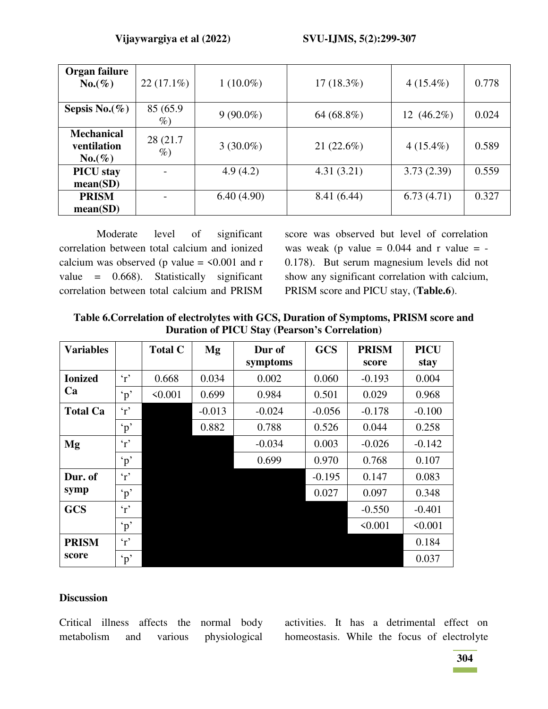| Organ failure<br>$No.(\%)$                    | $22(17.1\%)$      | $1(10.0\%)$ | $17(18.3\%)$ | $4(15.4\%)$   | 0.778 |
|-----------------------------------------------|-------------------|-------------|--------------|---------------|-------|
| Sepsis No. $(\%)$                             | 85 (65.9)<br>$\%$ | $9(90.0\%)$ | 64 (68.8%)   | 12 $(46.2\%)$ | 0.024 |
| <b>Mechanical</b><br>ventilation<br>$No.(\%)$ | 28 (21.7)<br>$\%$ | $3(30.0\%)$ | 21 (22.6%)   | $4(15.4\%)$   | 0.589 |
| <b>PICU</b> stay<br>mean(SD)                  |                   | 4.9(4.2)    | 4.31(3.21)   | 3.73(2.39)    | 0.559 |
| <b>PRISM</b><br>mean(SD)                      |                   | 6.40(4.90)  | 8.41 (6.44)  | 6.73(4.71)    | 0.327 |

Moderate level of significant correlation between total calcium and ionized calcium was observed (p value =  $\leq 0.001$  and r value = 0.668). Statistically significant correlation between total calcium and PRISM

score was observed but level of correlation was weak (p value  $= 0.044$  and r value  $= -$ 0.178). But serum magnesium levels did not show any significant correlation with calcium, PRISM score and PICU stay, (**Table.6**).

**Table 6.Correlation of electrolytes with GCS, Duration of Symptoms, PRISM score and Duration of PICU Stay (Pearson's Correlation)** 

| <b>Variables</b> |                 | <b>Total C</b> | Mg       | Dur of<br>symptoms | <b>GCS</b> | <b>PRISM</b><br>score | <b>PICU</b><br>stay |
|------------------|-----------------|----------------|----------|--------------------|------------|-----------------------|---------------------|
| <b>Ionized</b>   | $\cdot r$       | 0.668          | 0.034    | 0.002              | 0.060      | $-0.193$              | 0.004               |
| Ca               | $\mathbf{p}$    | $\le 0.001$    | 0.699    | 0.984              | 0.501      | 0.029                 | 0.968               |
| <b>Total Ca</b>  | $\cdot_{r}$     |                | $-0.013$ | $-0.024$           | $-0.056$   | $-0.178$              | $-0.100$            |
|                  | $\mathbf{p}$    |                | 0.882    | 0.788              | 0.526      | 0.044                 | 0.258               |
| Mg               | $\cdot_r$       |                |          | $-0.034$           | 0.003      | $-0.026$              | $-0.142$            |
|                  | $\mathfrak{p}'$ |                |          | 0.699              | 0.970      | 0.768                 | 0.107               |
| Dur. of          | $\cdot r$       |                |          |                    | $-0.195$   | 0.147                 | 0.083               |
| symp             | $\mathfrak{p}'$ |                |          |                    | 0.027      | 0.097                 | 0.348               |
| <b>GCS</b>       | $\cdot_r$       |                |          |                    |            | $-0.550$              | $-0.401$            |
|                  | $\mathbf{p}$    |                |          |                    |            | < 0.001               | < 0.001             |
| <b>PRISM</b>     | $\cdot_r$       |                |          |                    |            |                       | 0.184               |
| score            | $\cdot_p$       |                |          |                    |            |                       | 0.037               |

## **Discussion**

Critical illness affects the normal body metabolism and various physiological activities. It has a detrimental effect on homeostasis. While the focus of electrolyte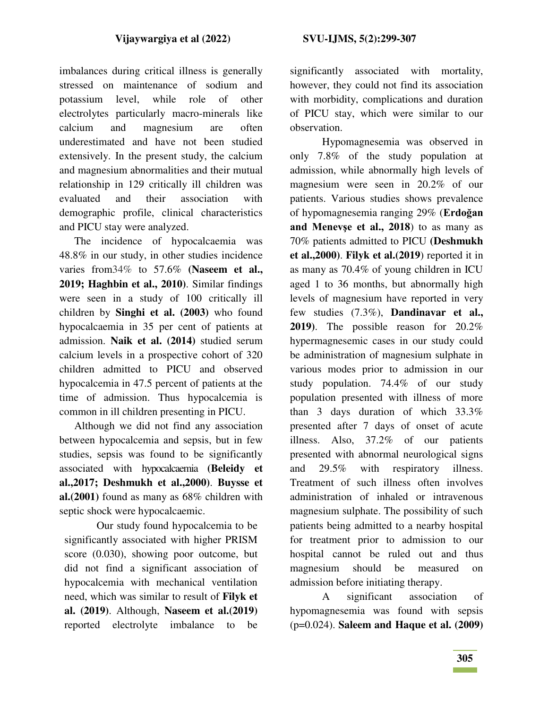imbalances during critical illness is generally stressed on maintenance of sodium and potassium level, while role of other electrolytes particularly macro-minerals like calcium and magnesium are often underestimated and have not been studied extensively. In the present study, the calcium and magnesium abnormalities and their mutual relationship in 129 critically ill children was evaluated and their association with demographic profile, clinical characteristics and PICU stay were analyzed.

 The incidence of hypocalcaemia was 48.8% in our study, in other studies incidence varies from34% to 57.6% **(Naseem et al., 2019; Haghbin et al., 2010)**. Similar findings were seen in a study of 100 critically ill children by **Singhi et al. (2003)** who found hypocalcaemia in 35 per cent of patients at admission. **Naik et al. (2014)** studied serum calcium levels in a prospective cohort of 320 children admitted to PICU and observed hypocalcemia in 47.5 percent of patients at the time of admission. Thus hypocalcemia is common in ill children presenting in PICU.

 Although we did not find any association between hypocalcemia and sepsis, but in few studies, sepsis was found to be significantly associated with hypocalcaemia **(Beleidy et al.,2017; Deshmukh et al.,2000)**. **Buysse et al.(2001)** found as many as 68% children with septic shock were hypocalcaemic.

Our study found hypocalcemia to be significantly associated with higher PRISM score (0.030), showing poor outcome, but did not find a significant association of hypocalcemia with mechanical ventilation need, which was similar to result of **Filyk et al. (2019)**. Although, **Naseem et al.(2019)**  reported electrolyte imbalance to be

significantly associated with mortality, however, they could not find its association with morbidity, complications and duration of PICU stay, which were similar to our observation.

Hypomagnesemia was observed in only 7.8% of the study population at admission, while abnormally high levels of magnesium were seen in 20.2% of our patients. Various studies shows prevalence of hypomagnesemia ranging 29% (**Erdoğan and Menevşe et al., 2018**) to as many as 70% patients admitted to PICU **(Deshmukh et al.,2000)**. **Filyk et al.(2019**) reported it in as many as 70.4% of young children in ICU aged 1 to 36 months, but abnormally high levels of magnesium have reported in very few studies (7.3%), **Dandinavar et al., 2019)**. The possible reason for 20.2% hypermagnesemic cases in our study could be administration of magnesium sulphate in various modes prior to admission in our study population. 74.4% of our study population presented with illness of more than 3 days duration of which 33.3% presented after 7 days of onset of acute illness. Also, 37.2% of our patients presented with abnormal neurological signs and 29.5% with respiratory illness. Treatment of such illness often involves administration of inhaled or intravenous magnesium sulphate. The possibility of such patients being admitted to a nearby hospital for treatment prior to admission to our hospital cannot be ruled out and thus magnesium should be measured on admission before initiating therapy.

A significant association of hypomagnesemia was found with sepsis (p=0.024). **Saleem and Haque et al. (2009)**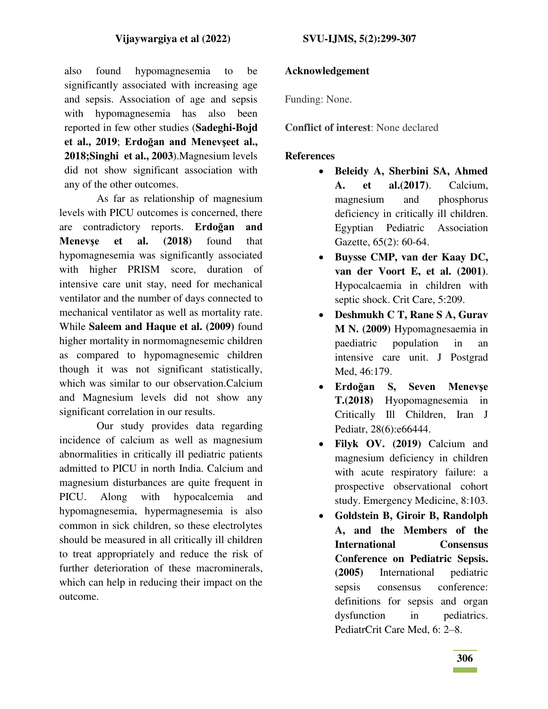also found hypomagnesemia to be significantly associated with increasing age and sepsis. Association of age and sepsis with hypomagnesemia has also been reported in few other studies (**Sadeghi-Bojd et al., 2019**; **Erdoğan and Menevşeet al., 2018;Singhi et al., 2003**).Magnesium levels did not show significant association with any of the other outcomes.

As far as relationship of magnesium levels with PICU outcomes is concerned, there are contradictory reports. **Erdoğan and Menevşe et al. (2018)** found that hypomagnesemia was significantly associated with higher PRISM score, duration of intensive care unit stay, need for mechanical ventilator and the number of days connected to mechanical ventilator as well as mortality rate. While **Saleem and Haque et al. (2009)** found higher mortality in normomagnesemic children as compared to hypomagnesemic children though it was not significant statistically, which was similar to our observation.Calcium and Magnesium levels did not show any significant correlation in our results.

Our study provides data regarding incidence of calcium as well as magnesium abnormalities in critically ill pediatric patients admitted to PICU in north India. Calcium and magnesium disturbances are quite frequent in PICU. Along with hypocalcemia and hypomagnesemia, hypermagnesemia is also common in sick children, so these electrolytes should be measured in all critically ill children to treat appropriately and reduce the risk of further deterioration of these macrominerals, which can help in reducing their impact on the outcome.

## **Acknowledgement**

Funding: None.

**Conflict of interest**: None declared

#### **References**

- **Beleidy A, Sherbini SA, Ahmed A. et al.(2017)**. Calcium, magnesium and phosphorus deficiency in critically ill children. Egyptian Pediatric Association Gazette, 65(2): 60-64.
- **Buysse CMP, van der Kaay DC, van der Voort E, et al. (2001)**. Hypocalcaemia in children with septic shock. Crit Care, 5:209.
- **Deshmukh C T, Rane S A, Gurav M N. (2009)** Hypomagnesaemia in paediatric population in an intensive care unit. J Postgrad Med, 46:179.
- **Erdoğan S, Seven Menevşe T.(2018)** Hyopomagnesemia in Critically Ill Children, Iran J Pediatr, 28(6):e66444.
- **Filyk OV. (2019)** Calcium and magnesium deficiency in children with acute respiratory failure: a prospective observational cohort study. Emergency Medicine, 8:103.
- **Goldstein B, Giroir B, Randolph A, and the Members of the International Consensus Conference on Pediatric Sepsis. (2005)** International pediatric sepsis consensus conference: definitions for sepsis and organ dysfunction in pediatrics. PediatrCrit Care Med, 6: 2–8.